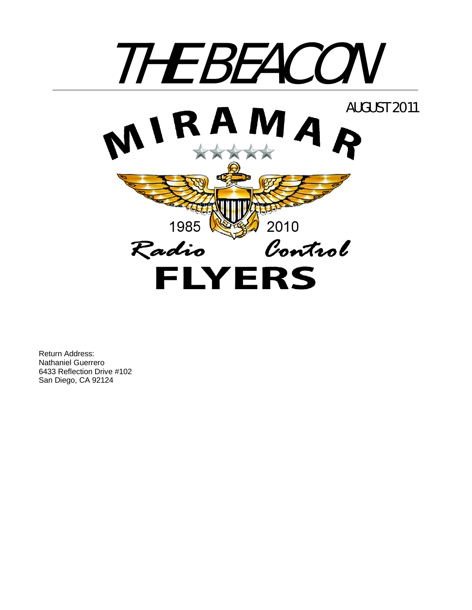

Return Address: Nathaniel Guerrero 6433 Reflection Drive #102 San Diego, CA 92124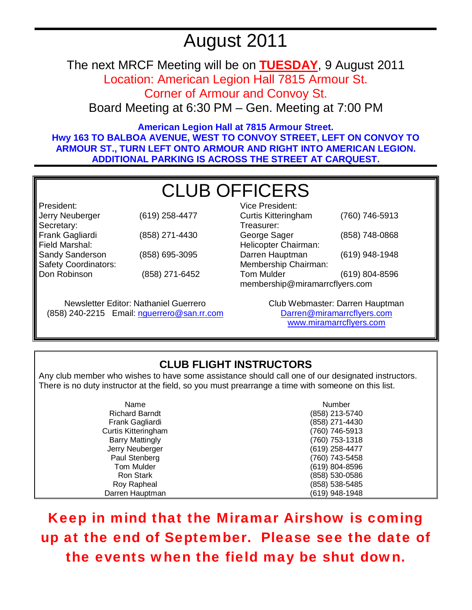# August 2011

The next MRCF Meeting will be on **TUESDAY**, 9 August 2011

Location: American Legion Hall 7815 Armour St.

Corner of Armour and Convoy St.

Board Meeting at 6:30 PM – Gen. Meeting at 7:00 PM

**American Legion Hall at 7815 Armour Street. Hwy 163 TO BALBOA AVENUE, WEST TO CONVOY STREET, LEFT ON CONVOY TO ARMOUR ST., TURN LEFT ONTO ARMOUR AND RIGHT INTO AMERICAN LEGION. ADDITIONAL PARKING IS ACROSS THE STREET AT CARQUEST.** 

# CLUB OFFICERS

President: Jerry Neuberger (619) 258-4477 Secretary: Frank Gagliardi (858) 271-4430 Field Marshal: Sandy Sanderson (858) 695-3095 Safety Coordinators: Don Robinson (858) 271-6452

Newsletter Editor: Nathaniel Guerrero (858) 240-2215 Email: nguerrero@san.rr.com

| Vice President:                |                |  |
|--------------------------------|----------------|--|
| <b>Curtis Kitteringham</b>     | (760) 746-5913 |  |
| Treasurer:                     |                |  |
| George Sager                   | (858) 748-0868 |  |
| Helicopter Chairman:           |                |  |
| Darren Hauptman                | (619) 948-1948 |  |
| Membership Chairman:           |                |  |
| <b>Tom Mulder</b>              | (619) 804-8596 |  |
| membership@miramarrcflyers.com |                |  |

Club Webmaster: Darren Hauptman Darren@miramarrcflyers.com www.miramarrcflyers.com

# **CLUB FLIGHT INSTRUCTORS**

Any club member who wishes to have some assistance should call one of our designated instructors. There is no duty instructor at the field, so you must prearrange a time with someone on this list.

| Name                   | Number         |
|------------------------|----------------|
| <b>Richard Barndt</b>  | (858) 213-5740 |
| Frank Gagliardi        | (858) 271-4430 |
| Curtis Kitteringham    | (760) 746-5913 |
| <b>Barry Mattingly</b> | (760) 753-1318 |
| Jerry Neuberger        | (619) 258-4477 |
| Paul Stenberg          | (760) 743-5458 |
| <b>Tom Mulder</b>      | (619) 804-8596 |
| <b>Ron Stark</b>       | (858) 530-0586 |
| Roy Rapheal            | (858) 538-5485 |
| Darren Hauptman        | (619) 948-1948 |

Keep in mind that the Miramar Airshow is coming up at the end of September. Please see the date of the events when the field may be shut down.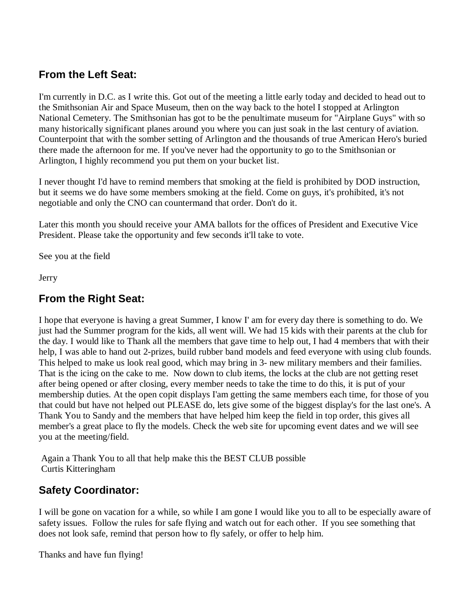## **From the Left Seat:**

I'm currently in D.C. as I write this. Got out of the meeting a little early today and decided to head out to the Smithsonian Air and Space Museum, then on the way back to the hotel I stopped at Arlington National Cemetery. The Smithsonian has got to be the penultimate museum for "Airplane Guys" with so many historically significant planes around you where you can just soak in the last century of aviation. Counterpoint that with the somber setting of Arlington and the thousands of true American Hero's buried there made the afternoon for me. If you've never had the opportunity to go to the Smithsonian or Arlington, I highly recommend you put them on your bucket list.

I never thought I'd have to remind members that smoking at the field is prohibited by DOD instruction, but it seems we do have some members smoking at the field. Come on guys, it's prohibited, it's not negotiable and only the CNO can countermand that order. Don't do it.

Later this month you should receive your AMA ballots for the offices of President and Executive Vice President. Please take the opportunity and few seconds it'll take to vote.

See you at the field

Jerry

## **From the Right Seat:**

I hope that everyone is having a great Summer, I know I' am for every day there is something to do. We just had the Summer program for the kids, all went will. We had 15 kids with their parents at the club for the day. I would like to Thank all the members that gave time to help out, I had 4 members that with their help, I was able to hand out 2-prizes, build rubber band models and feed everyone with using club founds. This helped to make us look real good, which may bring in 3- new military members and their families. That is the icing on the cake to me. Now down to club items, the locks at the club are not getting reset after being opened or after closing, every member needs to take the time to do this, it is put of your membership duties. At the open copit displays I'am getting the same members each time, for those of you that could but have not helped out PLEASE do, lets give some of the biggest display's for the last one's. A Thank You to Sandy and the members that have helped him keep the field in top order, this gives all member's a great place to fly the models. Check the web site for upcoming event dates and we will see you at the meeting/field.

 Again a Thank You to all that help make this the BEST CLUB possible Curtis Kitteringham

## **Safety Coordinator:**

I will be gone on vacation for a while, so while I am gone I would like you to all to be especially aware of safety issues. Follow the rules for safe flying and watch out for each other. If you see something that does not look safe, remind that person how to fly safely, or offer to help him.

Thanks and have fun flying!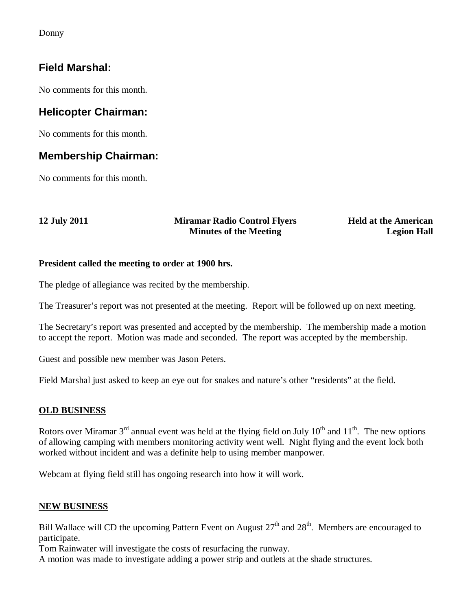Donny

## **Field Marshal:**

No comments for this month.

## **Helicopter Chairman:**

No comments for this month.

### **Membership Chairman:**

No comments for this month.

#### **12 July 2011 Miramar Radio Control Flyers Minutes of the Meeting**

**Held at the American Legion Hall**

#### **President called the meeting to order at 1900 hrs.**

The pledge of allegiance was recited by the membership.

The Treasurer's report was not presented at the meeting. Report will be followed up on next meeting.

The Secretary's report was presented and accepted by the membership. The membership made a motion to accept the report. Motion was made and seconded. The report was accepted by the membership.

Guest and possible new member was Jason Peters.

Field Marshal just asked to keep an eye out for snakes and nature's other "residents" at the field.

#### **OLD BUSINESS**

Rotors over Miramar  $3^{rd}$  annual event was held at the flying field on July  $10^{th}$  and  $11^{th}$ . The new options of allowing camping with members monitoring activity went well. Night flying and the event lock both worked without incident and was a definite help to using member manpower.

Webcam at flying field still has ongoing research into how it will work.

#### **NEW BUSINESS**

Bill Wallace will CD the upcoming Pattern Event on August  $27<sup>th</sup>$  and  $28<sup>th</sup>$ . Members are encouraged to participate.

Tom Rainwater will investigate the costs of resurfacing the runway.

A motion was made to investigate adding a power strip and outlets at the shade structures.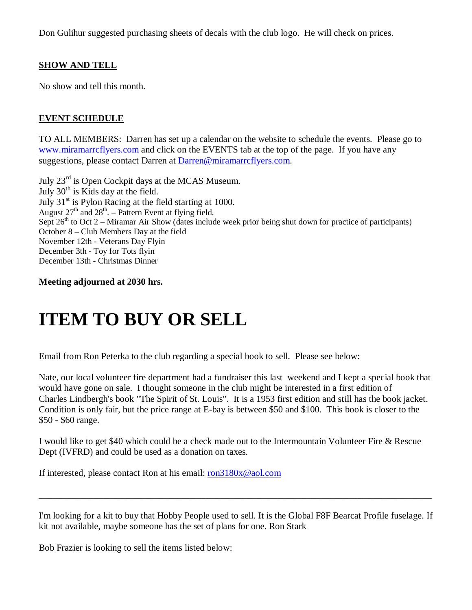Don Gulihur suggested purchasing sheets of decals with the club logo. He will check on prices.

#### **SHOW AND TELL**

No show and tell this month.

#### **EVENT SCHEDULE**

TO ALL MEMBERS: Darren has set up a calendar on the website to schedule the events. Please go to www.miramarrcflyers.com and click on the EVENTS tab at the top of the page. If you have any suggestions, please contact Darren at Darren@miramarrcflyers.com.

July 23rd is Open Cockpit days at the MCAS Museum. July  $30<sup>th</sup>$  is Kids day at the field. July  $31<sup>st</sup>$  is Pylon Racing at the field starting at 1000. August  $27<sup>th</sup>$  and  $28<sup>th</sup>$ . – Pattern Event at flying field. Sept  $26<sup>th</sup>$  to Oct 2 – Miramar Air Show (dates include week prior being shut down for practice of participants) October 8 – Club Members Day at the field November 12th - Veterans Day Flyin December 3th - Toy for Tots flyin December 13th - Christmas Dinner

**Meeting adjourned at 2030 hrs.** 

# **ITEM TO BUY OR SELL**

Email from Ron Peterka to the club regarding a special book to sell. Please see below:

Nate, our local volunteer fire department had a fundraiser this last weekend and I kept a special book that would have gone on sale. I thought someone in the club might be interested in a first edition of Charles Lindbergh's book "The Spirit of St. Louis". It is a 1953 first edition and still has the book jacket. Condition is only fair, but the price range at E-bay is between \$50 and \$100. This book is closer to the \$50 - \$60 range.

I would like to get \$40 which could be a check made out to the Intermountain Volunteer Fire & Rescue Dept (IVFRD) and could be used as a donation on taxes.

If interested, please contact Ron at his email: ron3180x@aol.com

I'm looking for a kit to buy that Hobby People used to sell. It is the Global F8F Bearcat Profile fuselage. If kit not available, maybe someone has the set of plans for one. Ron Stark

\_\_\_\_\_\_\_\_\_\_\_\_\_\_\_\_\_\_\_\_\_\_\_\_\_\_\_\_\_\_\_\_\_\_\_\_\_\_\_\_\_\_\_\_\_\_\_\_\_\_\_\_\_\_\_\_\_\_\_\_\_\_\_\_\_\_\_\_\_\_\_\_\_\_\_\_\_\_\_\_\_\_\_\_\_

Bob Frazier is looking to sell the items listed below: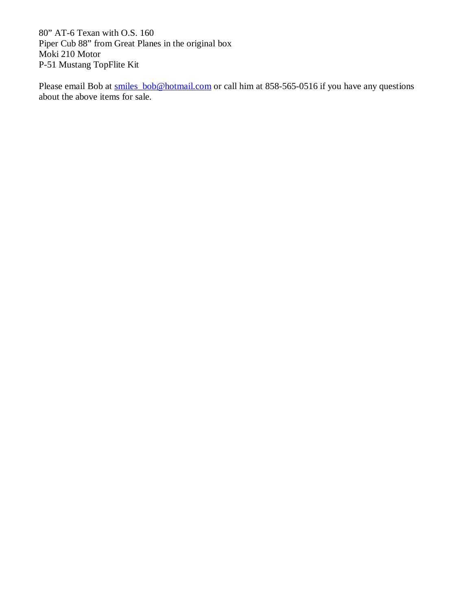80" AT-6 Texan with O.S. 160 Piper Cub 88" from Great Planes in the original box Moki 210 Motor P-51 Mustang TopFlite Kit

Please email Bob at smiles\_bob@hotmail.com or call him at 858-565-0516 if you have any questions about the above items for sale.